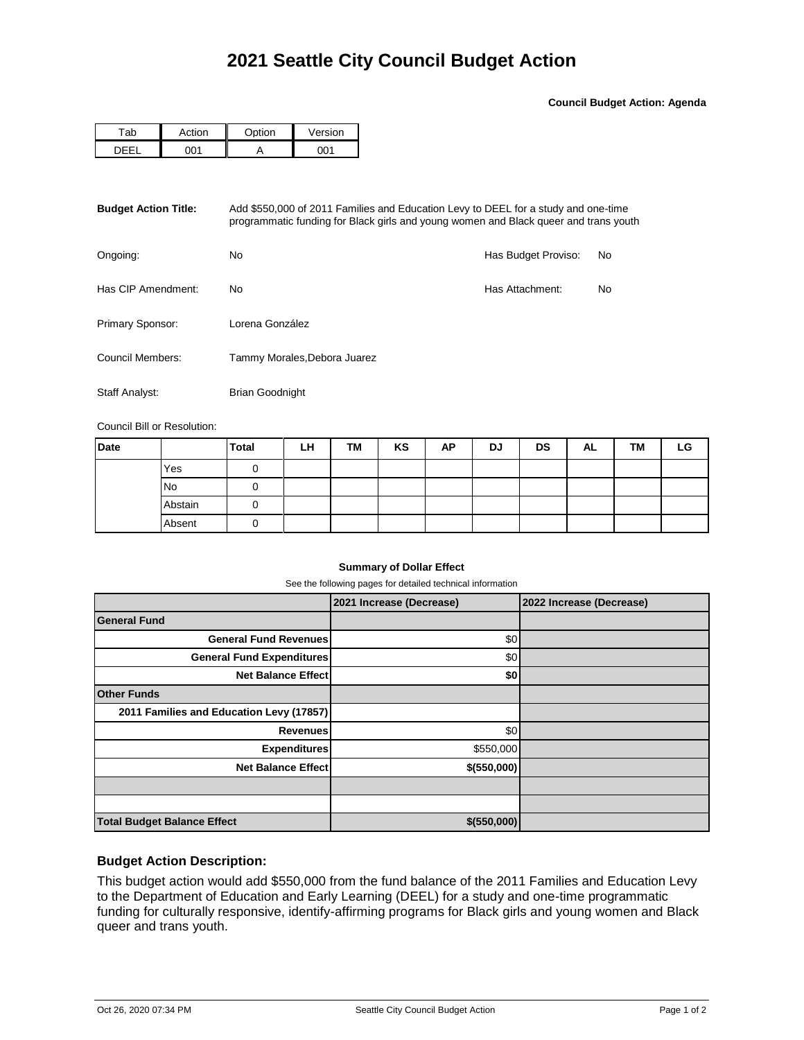**Council Budget Action: Agenda**

| -ab | .ction | $\sim$ tion | Version |  |  |
|-----|--------|-------------|---------|--|--|
|     |        |             | ∗∩ר     |  |  |

| <b>Budget Action Title:</b> | Add \$550,000 of 2011 Families and Education Levy to DEEL for a study and one-time<br>programmatic funding for Black girls and young women and Black queer and trans youth |                     |    |  |  |  |  |
|-----------------------------|----------------------------------------------------------------------------------------------------------------------------------------------------------------------------|---------------------|----|--|--|--|--|
| Ongoing:                    | No.                                                                                                                                                                        | Has Budget Proviso: | No |  |  |  |  |
| Has CIP Amendment:          | No.                                                                                                                                                                        | Has Attachment:     | No |  |  |  |  |
| Primary Sponsor:            | Lorena González                                                                                                                                                            |                     |    |  |  |  |  |
| Council Members:            | Tammy Morales, Debora Juarez                                                                                                                                               |                     |    |  |  |  |  |
| Staff Analyst:              | <b>Brian Goodnight</b>                                                                                                                                                     |                     |    |  |  |  |  |

Council Bill or Resolution:

| <b>Date</b> |           | <b>Total</b> | LН | TM | KS | AP | <b>DJ</b> | <b>DS</b> | AL | TM | LG |
|-------------|-----------|--------------|----|----|----|----|-----------|-----------|----|----|----|
|             | Yes       |              |    |    |    |    |           |           |    |    |    |
|             | <b>No</b> |              |    |    |    |    |           |           |    |    |    |
|             | Abstain   |              |    |    |    |    |           |           |    |    |    |
|             | Absent    |              |    |    |    |    |           |           |    |    |    |

### **Summary of Dollar Effect**

See the following pages for detailed technical information

|                                          | 2021 Increase (Decrease) | 2022 Increase (Decrease) |
|------------------------------------------|--------------------------|--------------------------|
| <b>General Fund</b>                      |                          |                          |
| <b>General Fund Revenues</b>             | \$0                      |                          |
| <b>General Fund Expenditures</b>         | \$0                      |                          |
| <b>Net Balance Effect</b>                | \$0                      |                          |
| <b>Other Funds</b>                       |                          |                          |
| 2011 Families and Education Levy (17857) |                          |                          |
| <b>Revenues</b>                          | \$0                      |                          |
| <b>Expenditures</b>                      | \$550,000                |                          |
| <b>Net Balance Effect</b>                | \$ (550,000)             |                          |
|                                          |                          |                          |
|                                          |                          |                          |
| <b>Total Budget Balance Effect</b>       | \$(550,000)              |                          |

## **Budget Action Description:**

This budget action would add \$550,000 from the fund balance of the 2011 Families and Education Levy to the Department of Education and Early Learning (DEEL) for a study and one-time programmatic funding for culturally responsive, identify-affirming programs for Black girls and young women and Black queer and trans youth.